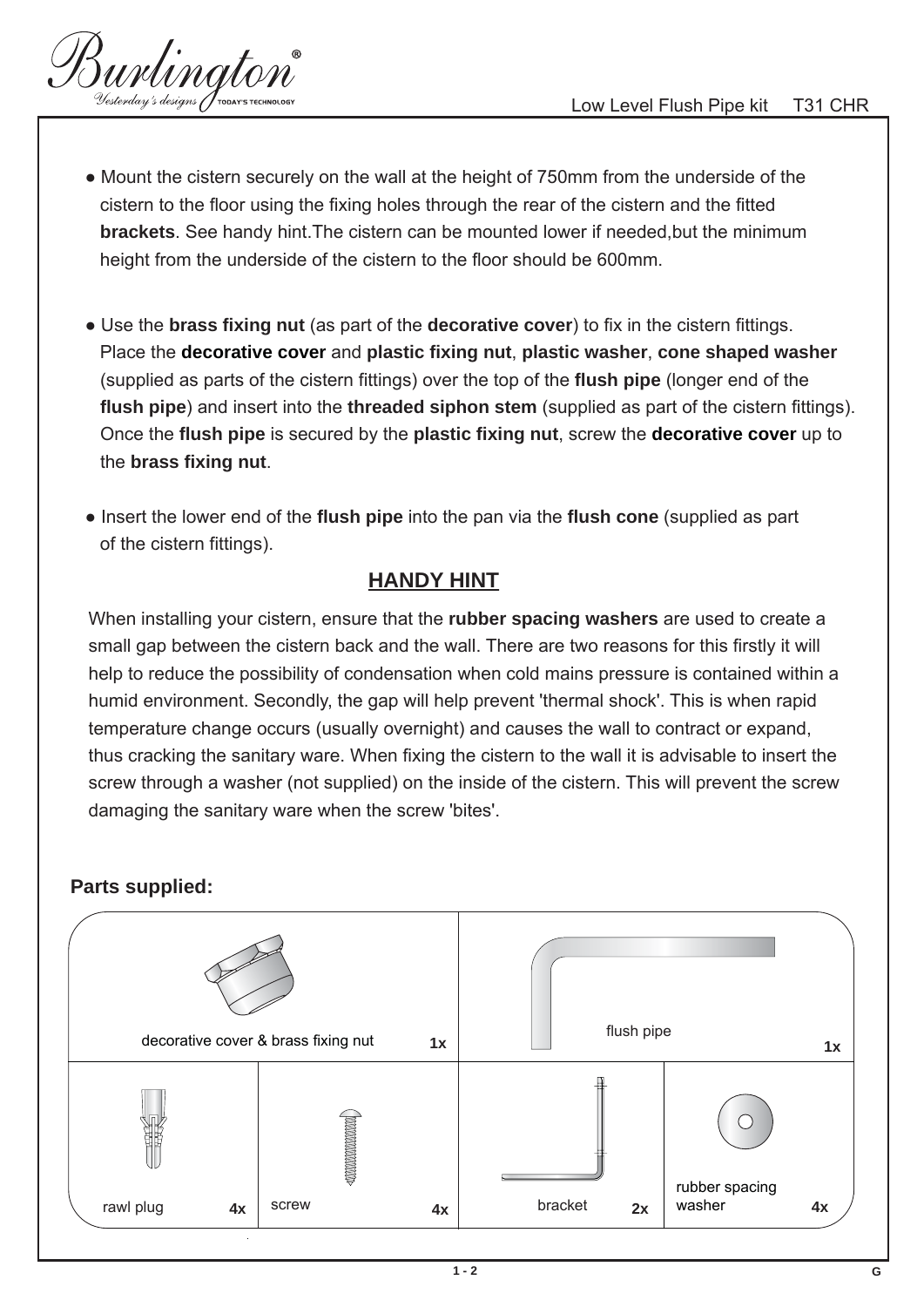urlington

- Mount the cistern securely on the wall at the height of 750mm from the underside of the cistern to the floor using the fixing holes through the rear of the cistern and the fitted  **brackets**. See handy hint.The cistern can be mounted lower if needed,but the minimum height from the underside of the cistern to the floor should be 600mm.
- Use the **brass fixing nut** (as part of the **decorative cover**) to fix in the cistern fittings. Place the **decorative cover** and **plastic fixing nut**, **plastic washer**, **cone shaped washer**  (supplied as parts of the cistern fittings) over the top of the **flush pipe** (longer end of the **flush pipe**) and insert into the **threaded siphon stem** (supplied as part of the cistern fittings). Once the **flush pipe** is secured by the **plastic fixing nut**, screw the **decorative cover** up to the **brass fixing nut**.
- Insert the lower end of the **flush pipe** into the pan via the **flush cone** (supplied as part of the cistern fittings).

## **HANDY HINT**

When installing your cistern, ensure that the **rubber spacing washers** are used to create a small gap between the cistern back and the wall. There are two reasons for this firstly it will help to reduce the possibility of condensation when cold mains pressure is contained within a humid environment. Secondly, the gap will help prevent 'thermal shock'. This is when rapid temperature change occurs (usually overnight) and causes the wall to contract or expand, thus cracking the sanitary ware. When fixing the cistern to the wall it is advisable to insert the screw through a washer (not supplied) on the inside of the cistern. This will prevent the screw damaging the sanitary ware when the screw 'bites'.



## **Parts supplied:**